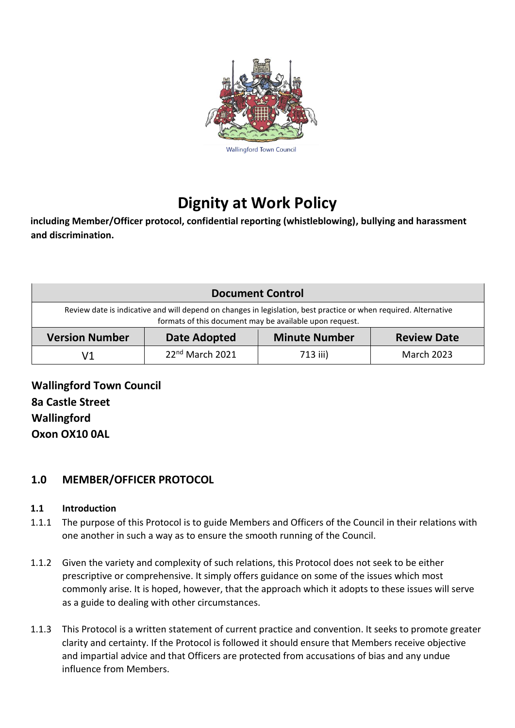

# **Dignity at Work Policy**

**including Member/Officer protocol, confidential reporting (whistleblowing), bullying and harassment and discrimination.**

| <b>Document Control</b>                                                                                                                                                     |                     |                      |                    |
|-----------------------------------------------------------------------------------------------------------------------------------------------------------------------------|---------------------|----------------------|--------------------|
| Review date is indicative and will depend on changes in legislation, best practice or when required. Alternative<br>formats of this document may be available upon request. |                     |                      |                    |
| <b>Version Number</b>                                                                                                                                                       | <b>Date Adopted</b> | <b>Minute Number</b> | <b>Review Date</b> |
| V1                                                                                                                                                                          | $22nd$ March 2021   | 713 iii)             | <b>March 2023</b>  |

**Wallingford Town Council 8a Castle Street Wallingford Oxon OX10 0AL**

# **1.0 MEMBER/OFFICER PROTOCOL**

#### **1.1 Introduction**

- 1.1.1 The purpose of this Protocol is to guide Members and Officers of the Council in their relations with one another in such a way as to ensure the smooth running of the Council.
- 1.1.2 Given the variety and complexity of such relations, this Protocol does not seek to be either prescriptive or comprehensive. It simply offers guidance on some of the issues which most commonly arise. It is hoped, however, that the approach which it adopts to these issues will serve as a guide to dealing with other circumstances.
- 1.1.3 This Protocol is a written statement of current practice and convention. It seeks to promote greater clarity and certainty. If the Protocol is followed it should ensure that Members receive objective and impartial advice and that Officers are protected from accusations of bias and any undue influence from Members.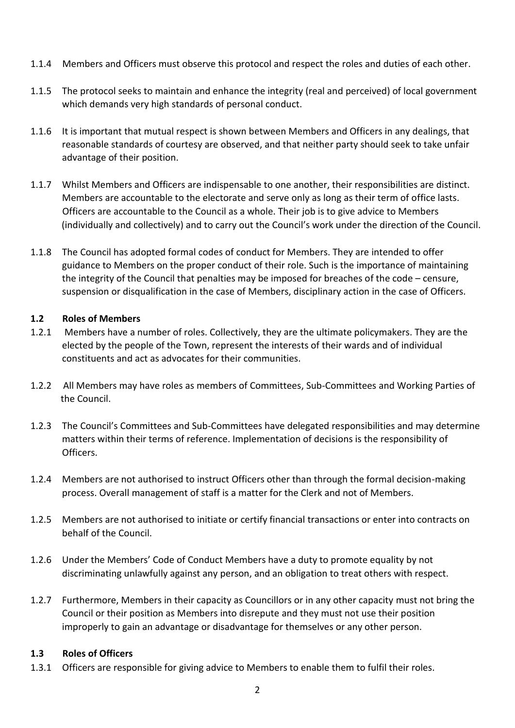- 1.1.4 Members and Officers must observe this protocol and respect the roles and duties of each other.
- 1.1.5 The protocol seeks to maintain and enhance the integrity (real and perceived) of local government which demands very high standards of personal conduct.
- 1.1.6 It is important that mutual respect is shown between Members and Officers in any dealings, that reasonable standards of courtesy are observed, and that neither party should seek to take unfair advantage of their position.
- 1.1.7 Whilst Members and Officers are indispensable to one another, their responsibilities are distinct. Members are accountable to the electorate and serve only as long as their term of office lasts. Officers are accountable to the Council as a whole. Their job is to give advice to Members (individually and collectively) and to carry out the Council's work under the direction of the Council.
- 1.1.8 The Council has adopted formal codes of conduct for Members. They are intended to offer guidance to Members on the proper conduct of their role. Such is the importance of maintaining the integrity of the Council that penalties may be imposed for breaches of the code – censure, suspension or disqualification in the case of Members, disciplinary action in the case of Officers.

#### **1.2 Roles of Members**

- 1.2.1 Members have a number of roles. Collectively, they are the ultimate policymakers. They are the elected by the people of the Town, represent the interests of their wards and of individual constituents and act as advocates for their communities.
- 1.2.2 All Members may have roles as members of Committees, Sub-Committees and Working Parties of the Council.
- 1.2.3 The Council's Committees and Sub-Committees have delegated responsibilities and may determine matters within their terms of reference. Implementation of decisions is the responsibility of Officers.
- 1.2.4 Members are not authorised to instruct Officers other than through the formal decision-making process. Overall management of staff is a matter for the Clerk and not of Members.
- 1.2.5 Members are not authorised to initiate or certify financial transactions or enter into contracts on behalf of the Council.
- 1.2.6 Under the Members' Code of Conduct Members have a duty to promote equality by not discriminating unlawfully against any person, and an obligation to treat others with respect.
- 1.2.7 Furthermore, Members in their capacity as Councillors or in any other capacity must not bring the Council or their position as Members into disrepute and they must not use their position improperly to gain an advantage or disadvantage for themselves or any other person.

#### **1.3 Roles of Officers**

1.3.1 Officers are responsible for giving advice to Members to enable them to fulfil their roles.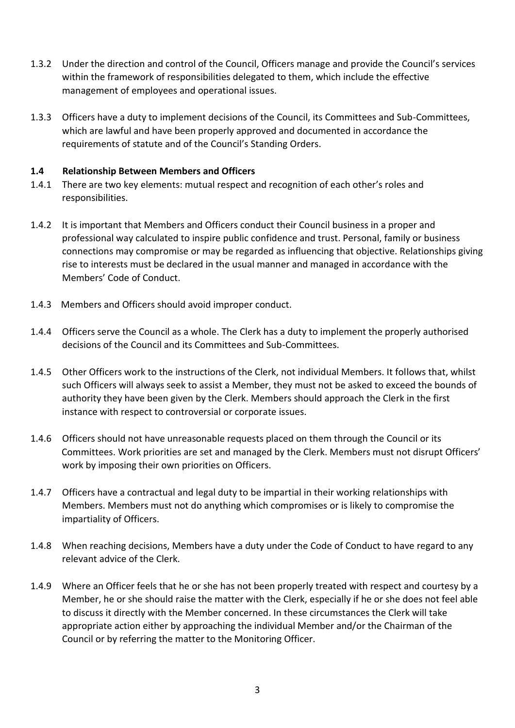- 1.3.2 Under the direction and control of the Council, Officers manage and provide the Council's services within the framework of responsibilities delegated to them, which include the effective management of employees and operational issues.
- 1.3.3 Officers have a duty to implement decisions of the Council, its Committees and Sub-Committees, which are lawful and have been properly approved and documented in accordance the requirements of statute and of the Council's Standing Orders.

#### **1.4 Relationship Between Members and Officers**

- 1.4.1 There are two key elements: mutual respect and recognition of each other's roles and responsibilities.
- 1.4.2 It is important that Members and Officers conduct their Council business in a proper and professional way calculated to inspire public confidence and trust. Personal, family or business connections may compromise or may be regarded as influencing that objective. Relationships giving rise to interests must be declared in the usual manner and managed in accordance with the Members' Code of Conduct.
- 1.4.3 Members and Officers should avoid improper conduct.
- 1.4.4 Officers serve the Council as a whole. The Clerk has a duty to implement the properly authorised decisions of the Council and its Committees and Sub-Committees.
- 1.4.5 Other Officers work to the instructions of the Clerk, not individual Members. It follows that, whilst such Officers will always seek to assist a Member, they must not be asked to exceed the bounds of authority they have been given by the Clerk. Members should approach the Clerk in the first instance with respect to controversial or corporate issues.
- 1.4.6 Officers should not have unreasonable requests placed on them through the Council or its Committees. Work priorities are set and managed by the Clerk. Members must not disrupt Officers' work by imposing their own priorities on Officers.
- 1.4.7 Officers have a contractual and legal duty to be impartial in their working relationships with Members. Members must not do anything which compromises or is likely to compromise the impartiality of Officers.
- 1.4.8 When reaching decisions, Members have a duty under the Code of Conduct to have regard to any relevant advice of the Clerk.
- 1.4.9 Where an Officer feels that he or she has not been properly treated with respect and courtesy by a Member, he or she should raise the matter with the Clerk, especially if he or she does not feel able to discuss it directly with the Member concerned. In these circumstances the Clerk will take appropriate action either by approaching the individual Member and/or the Chairman of the Council or by referring the matter to the Monitoring Officer.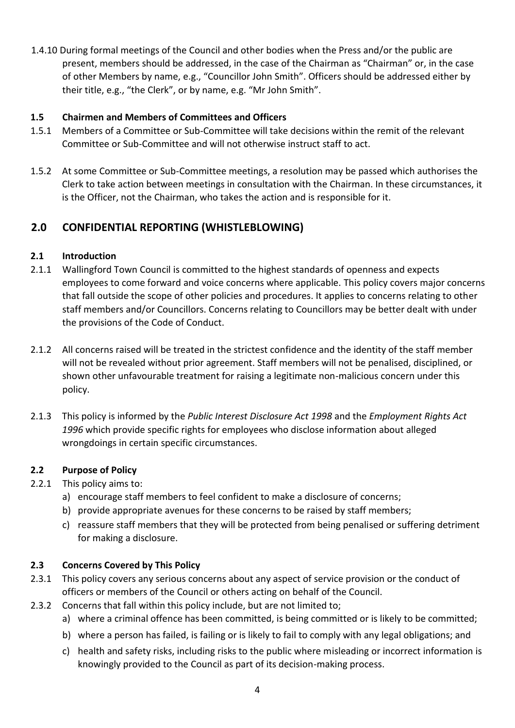1.4.10 During formal meetings of the Council and other bodies when the Press and/or the public are present, members should be addressed, in the case of the Chairman as "Chairman" or, in the case of other Members by name, e.g., "Councillor John Smith". Officers should be addressed either by their title, e.g., "the Clerk", or by name, e.g. "Mr John Smith".

# **1.5 Chairmen and Members of Committees and Officers**

- 1.5.1 Members of a Committee or Sub-Committee will take decisions within the remit of the relevant Committee or Sub-Committee and will not otherwise instruct staff to act.
- 1.5.2 At some Committee or Sub-Committee meetings, a resolution may be passed which authorises the Clerk to take action between meetings in consultation with the Chairman. In these circumstances, it is the Officer, not the Chairman, who takes the action and is responsible for it.

# **2.0 CONFIDENTIAL REPORTING (WHISTLEBLOWING)**

# **2.1 Introduction**

- 2.1.1 Wallingford Town Council is committed to the highest standards of openness and expects employees to come forward and voice concerns where applicable. This policy covers major concerns that fall outside the scope of other policies and procedures. It applies to concerns relating to other staff members and/or Councillors. Concerns relating to Councillors may be better dealt with under the provisions of the Code of Conduct.
- 2.1.2 All concerns raised will be treated in the strictest confidence and the identity of the staff member will not be revealed without prior agreement. Staff members will not be penalised, disciplined, or shown other unfavourable treatment for raising a legitimate non-malicious concern under this policy.
- 2.1.3 This policy is informed by the *Public Interest Disclosure Act 1998* and the *Employment Rights Act 1996* which provide specific rights for employees who disclose information about alleged wrongdoings in certain specific circumstances.

#### **2.2 Purpose of Policy**

- 2.2.1 This policy aims to:
	- a) encourage staff members to feel confident to make a disclosure of concerns;
	- b) provide appropriate avenues for these concerns to be raised by staff members;
	- c) reassure staff members that they will be protected from being penalised or suffering detriment for making a disclosure.

#### **2.3 Concerns Covered by This Policy**

- 2.3.1 This policy covers any serious concerns about any aspect of service provision or the conduct of officers or members of the Council or others acting on behalf of the Council.
- 2.3.2 Concerns that fall within this policy include, but are not limited to;
	- a) where a criminal offence has been committed, is being committed or is likely to be committed;
	- b) where a person has failed, is failing or is likely to fail to comply with any legal obligations; and
	- c) health and safety risks, including risks to the public where misleading or incorrect information is knowingly provided to the Council as part of its decision-making process.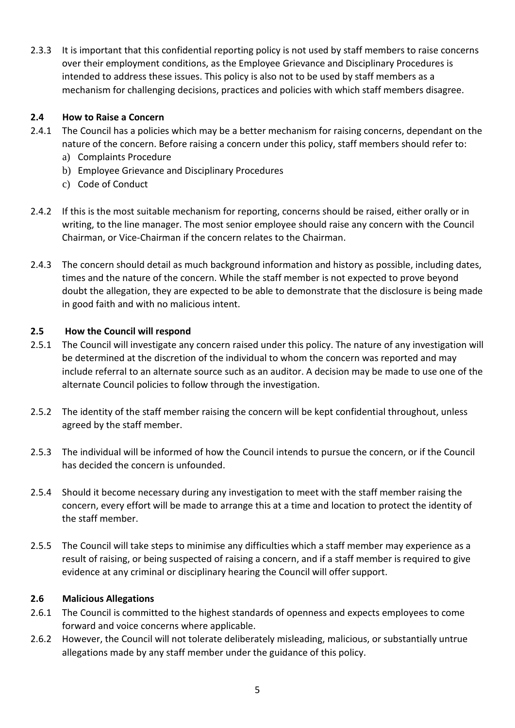2.3.3 It is important that this confidential reporting policy is not used by staff members to raise concerns over their employment conditions, as the Employee Grievance and Disciplinary Procedures is intended to address these issues. This policy is also not to be used by staff members as a mechanism for challenging decisions, practices and policies with which staff members disagree.

# **2.4 How to Raise a Concern**

- 2.4.1 The Council has a policies which may be a better mechanism for raising concerns, dependant on the nature of the concern. Before raising a concern under this policy, staff members should refer to:
	- a) Complaints Procedure
	- b) Employee Grievance and Disciplinary Procedures
	- c) Code of Conduct
- 2.4.2 If this is the most suitable mechanism for reporting, concerns should be raised, either orally or in writing, to the line manager. The most senior employee should raise any concern with the Council Chairman, or Vice-Chairman if the concern relates to the Chairman.
- 2.4.3 The concern should detail as much background information and history as possible, including dates, times and the nature of the concern. While the staff member is not expected to prove beyond doubt the allegation, they are expected to be able to demonstrate that the disclosure is being made in good faith and with no malicious intent.

#### **2.5 How the Council will respond**

- 2.5.1 The Council will investigate any concern raised under this policy. The nature of any investigation will be determined at the discretion of the individual to whom the concern was reported and may include referral to an alternate source such as an auditor. A decision may be made to use one of the alternate Council policies to follow through the investigation.
- 2.5.2 The identity of the staff member raising the concern will be kept confidential throughout, unless agreed by the staff member.
- 2.5.3 The individual will be informed of how the Council intends to pursue the concern, or if the Council has decided the concern is unfounded.
- 2.5.4 Should it become necessary during any investigation to meet with the staff member raising the concern, every effort will be made to arrange this at a time and location to protect the identity of the staff member.
- 2.5.5 The Council will take steps to minimise any difficulties which a staff member may experience as a result of raising, or being suspected of raising a concern, and if a staff member is required to give evidence at any criminal or disciplinary hearing the Council will offer support.

#### **2.6 Malicious Allegations**

- 2.6.1 The Council is committed to the highest standards of openness and expects employees to come forward and voice concerns where applicable.
- 2.6.2 However, the Council will not tolerate deliberately misleading, malicious, or substantially untrue allegations made by any staff member under the guidance of this policy.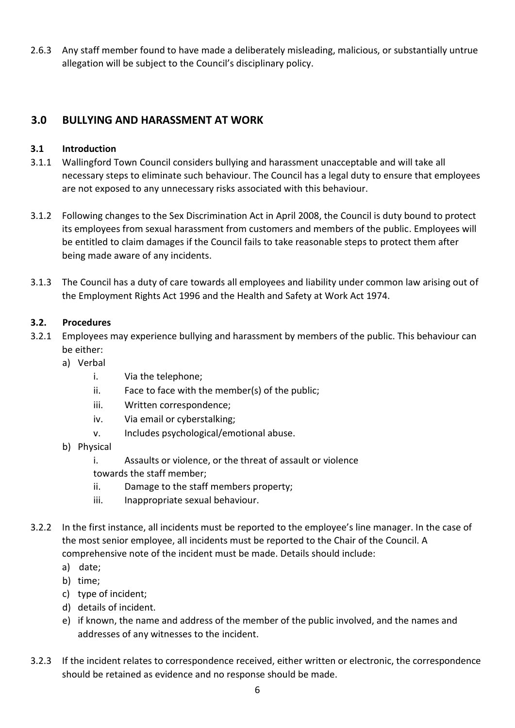2.6.3 Any staff member found to have made a deliberately misleading, malicious, or substantially untrue allegation will be subject to the Council's disciplinary policy.

# **3.0 BULLYING AND HARASSMENT AT WORK**

#### **3.1 Introduction**

- 3.1.1 Wallingford Town Council considers bullying and harassment unacceptable and will take all necessary steps to eliminate such behaviour. The Council has a legal duty to ensure that employees are not exposed to any unnecessary risks associated with this behaviour.
- 3.1.2 Following changes to the Sex Discrimination Act in April 2008, the Council is duty bound to protect its employees from sexual harassment from customers and members of the public. Employees will be entitled to claim damages if the Council fails to take reasonable steps to protect them after being made aware of any incidents.
- 3.1.3 The Council has a duty of care towards all employees and liability under common law arising out of the Employment Rights Act 1996 and the Health and Safety at Work Act 1974.

# **3.2. Procedures**

- 3.2.1 Employees may experience bullying and harassment by members of the public. This behaviour can be either:
	- a) Verbal
		- i. Via the telephone;
		- ii. Face to face with the member(s) of the public;
		- iii. Written correspondence;
		- iv. Via email or cyberstalking;
		- v. Includes psychological/emotional abuse.
	- b) Physical
		- i. Assaults or violence, or the threat of assault or violence towards the staff member;
		- ii. Damage to the staff members property;
		- iii. Inappropriate sexual behaviour.
- 3.2.2 In the first instance, all incidents must be reported to the employee's line manager. In the case of the most senior employee, all incidents must be reported to the Chair of the Council. A comprehensive note of the incident must be made. Details should include:
	- a) date;
	- b) time;
	- c) type of incident;
	- d) details of incident.
	- e) if known, the name and address of the member of the public involved, and the names and addresses of any witnesses to the incident.
- 3.2.3 If the incident relates to correspondence received, either written or electronic, the correspondence should be retained as evidence and no response should be made.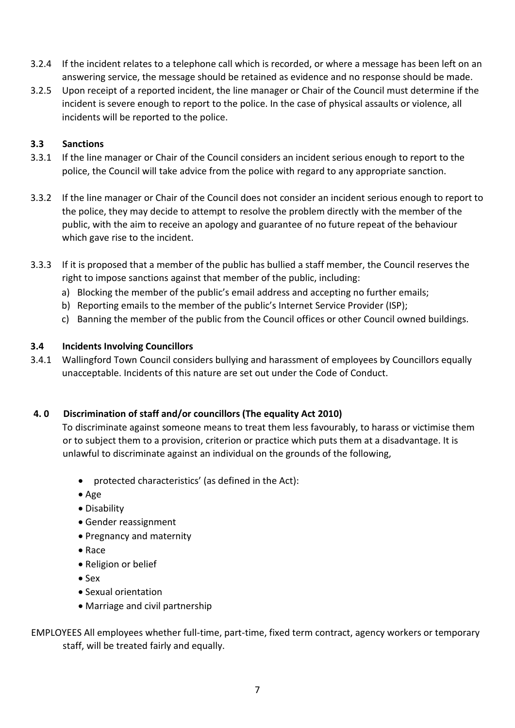- 3.2.4 If the incident relates to a telephone call which is recorded, or where a message has been left on an answering service, the message should be retained as evidence and no response should be made.
- 3.2.5 Upon receipt of a reported incident, the line manager or Chair of the Council must determine if the incident is severe enough to report to the police. In the case of physical assaults or violence, all incidents will be reported to the police.

# **3.3 Sanctions**

- 3.3.1 If the line manager or Chair of the Council considers an incident serious enough to report to the police, the Council will take advice from the police with regard to any appropriate sanction.
- 3.3.2 If the line manager or Chair of the Council does not consider an incident serious enough to report to the police, they may decide to attempt to resolve the problem directly with the member of the public, with the aim to receive an apology and guarantee of no future repeat of the behaviour which gave rise to the incident.
- 3.3.3 If it is proposed that a member of the public has bullied a staff member, the Council reserves the right to impose sanctions against that member of the public, including:
	- a) Blocking the member of the public's email address and accepting no further emails;
	- b) Reporting emails to the member of the public's Internet Service Provider (ISP);
	- c) Banning the member of the public from the Council offices or other Council owned buildings.

# **3.4 Incidents Involving Councillors**

3.4.1 Wallingford Town Council considers bullying and harassment of employees by Councillors equally unacceptable. Incidents of this nature are set out under the Code of Conduct.

#### **4. 0 Discrimination of staff and/or councillors (The equality Act 2010)**

To discriminate against someone means to treat them less favourably, to harass or victimise them or to subject them to a provision, criterion or practice which puts them at a disadvantage. It is unlawful to discriminate against an individual on the grounds of the following,

- protected characteristics' (as defined in the Act):
- Age
- Disability
- Gender reassignment
- Pregnancy and maternity
- Race
- Religion or belief
- Sex
- Sexual orientation
- Marriage and civil partnership
- EMPLOYEES All employees whether full-time, part-time, fixed term contract, agency workers or temporary staff, will be treated fairly and equally.